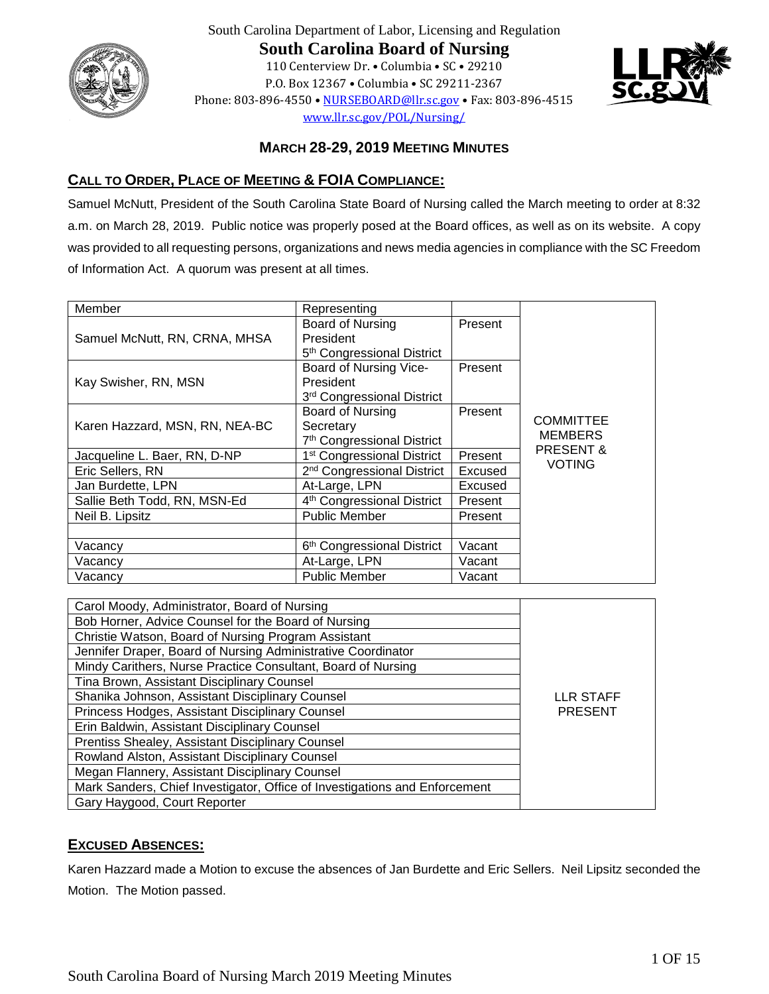

South Carolina Department of Labor, Licensing and Regulation **South Carolina Board of Nursing** 110 Centerview Dr. • Columbia • SC • 29210 P.O. Box 12367 • Columbia • SC 29211-2367 Phone: 803-896-4550 [• NURSEBOARD@llr.sc.gov](mailto:contactllr@llr.sc.gov) • Fax: 803-896-4515 [www.llr.sc.gov/POL/Nursing/](http://www.llronline.com/POL/Nursing/)



# **MARCH 28-29, 2019 MEETING MINUTES**

# **CALL TO ORDER, PLACE OF MEETING & FOIA COMPLIANCE:**

Samuel McNutt, President of the South Carolina State Board of Nursing called the March meeting to order at 8:32 a.m. on March 28, 2019. Public notice was properly posed at the Board offices, as well as on its website. A copy was provided to all requesting persons, organizations and news media agencies in compliance with the SC Freedom of Information Act. A quorum was present at all times.

| Member                         | Representing                           |         |                                        |
|--------------------------------|----------------------------------------|---------|----------------------------------------|
|                                | Board of Nursing                       | Present |                                        |
| Samuel McNutt, RN, CRNA, MHSA  | President                              |         |                                        |
|                                | 5 <sup>th</sup> Congressional District |         |                                        |
|                                | Board of Nursing Vice-                 | Present |                                        |
| Kay Swisher, RN, MSN           | President                              |         |                                        |
|                                | 3rd Congressional District             |         |                                        |
|                                | Board of Nursing                       | Present |                                        |
| Karen Hazzard, MSN, RN, NEA-BC | Secretary                              |         | COMMITTEE                              |
|                                | 7 <sup>th</sup> Congressional District |         | <b>MEMBERS</b><br><b>PRESENT &amp;</b> |
| Jacqueline L. Baer, RN, D-NP   | 1 <sup>st</sup> Congressional District | Present | <b>VOTING</b>                          |
| Eric Sellers, RN               | 2 <sup>nd</sup> Congressional District | Excused |                                        |
| Jan Burdette, LPN              | At-Large, LPN                          | Excused |                                        |
| Sallie Beth Todd, RN, MSN-Ed   | 4 <sup>th</sup> Congressional District | Present |                                        |
| Neil B. Lipsitz                | <b>Public Member</b>                   | Present |                                        |
|                                |                                        |         |                                        |
| Vacancy                        | 6 <sup>th</sup> Congressional District | Vacant  |                                        |
| Vacancv                        | At-Large, LPN                          | Vacant  |                                        |
| Vacancy                        | <b>Public Member</b>                   | Vacant  |                                        |

| Carol Moody, Administrator, Board of Nursing                               |                  |
|----------------------------------------------------------------------------|------------------|
| Bob Horner, Advice Counsel for the Board of Nursing                        |                  |
| Christie Watson, Board of Nursing Program Assistant                        |                  |
| Jennifer Draper, Board of Nursing Administrative Coordinator               |                  |
| Mindy Carithers, Nurse Practice Consultant, Board of Nursing               |                  |
| Tina Brown, Assistant Disciplinary Counsel                                 |                  |
| Shanika Johnson, Assistant Disciplinary Counsel                            | <b>LLR STAFF</b> |
| Princess Hodges, Assistant Disciplinary Counsel                            | <b>PRESENT</b>   |
| Erin Baldwin, Assistant Disciplinary Counsel                               |                  |
| Prentiss Shealey, Assistant Disciplinary Counsel                           |                  |
| Rowland Alston, Assistant Disciplinary Counsel                             |                  |
| Megan Flannery, Assistant Disciplinary Counsel                             |                  |
| Mark Sanders, Chief Investigator, Office of Investigations and Enforcement |                  |
| Gary Haygood, Court Reporter                                               |                  |

# **EXCUSED ABSENCES:**

Karen Hazzard made a Motion to excuse the absences of Jan Burdette and Eric Sellers. Neil Lipsitz seconded the Motion. The Motion passed.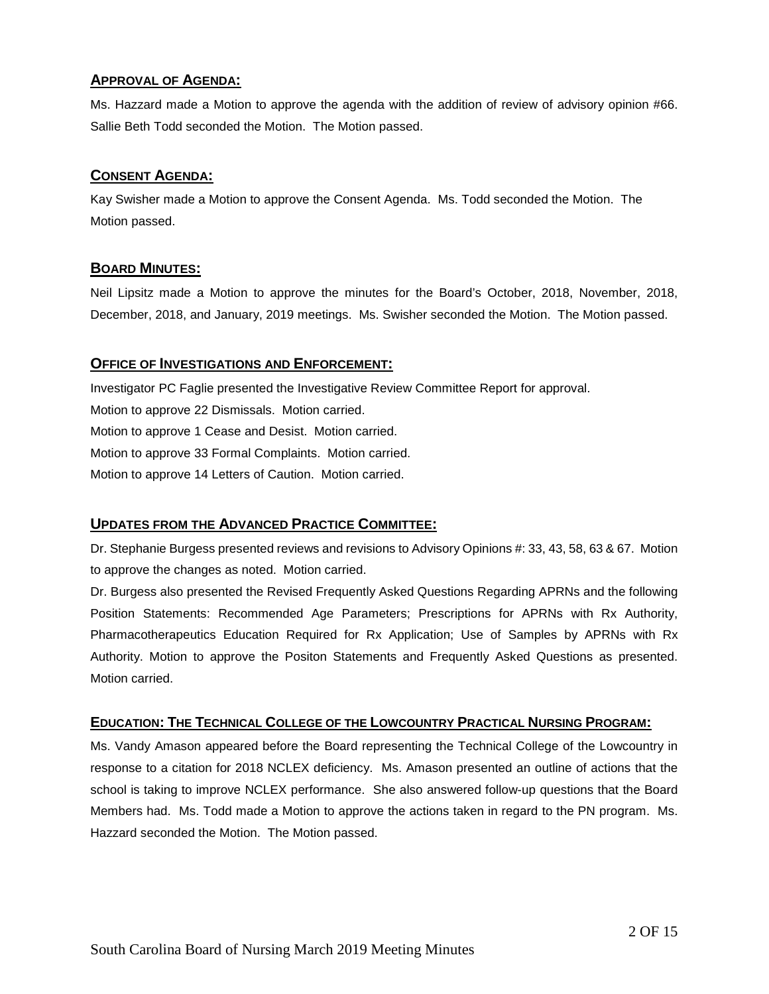## **APPROVAL OF AGENDA:**

Ms. Hazzard made a Motion to approve the agenda with the addition of review of advisory opinion #66. Sallie Beth Todd seconded the Motion. The Motion passed.

# **CONSENT AGENDA:**

Kay Swisher made a Motion to approve the Consent Agenda. Ms. Todd seconded the Motion. The Motion passed.

# **BOARD MINUTES:**

Neil Lipsitz made a Motion to approve the minutes for the Board's October, 2018, November, 2018, December, 2018, and January, 2019 meetings. Ms. Swisher seconded the Motion. The Motion passed.

# **OFFICE OF INVESTIGATIONS AND ENFORCEMENT:**

Investigator PC Faglie presented the Investigative Review Committee Report for approval. Motion to approve 22 Dismissals. Motion carried. Motion to approve 1 Cease and Desist. Motion carried. Motion to approve 33 Formal Complaints. Motion carried. Motion to approve 14 Letters of Caution. Motion carried.

# **UPDATES FROM THE ADVANCED PRACTICE COMMITTEE:**

Dr. Stephanie Burgess presented reviews and revisions to Advisory Opinions #: 33, 43, 58, 63 & 67. Motion to approve the changes as noted. Motion carried.

Dr. Burgess also presented the Revised Frequently Asked Questions Regarding APRNs and the following Position Statements: Recommended Age Parameters; Prescriptions for APRNs with Rx Authority, Pharmacotherapeutics Education Required for Rx Application; Use of Samples by APRNs with Rx Authority. Motion to approve the Positon Statements and Frequently Asked Questions as presented. Motion carried.

# **EDUCATION: THE TECHNICAL COLLEGE OF THE LOWCOUNTRY PRACTICAL NURSING PROGRAM:**

Ms. Vandy Amason appeared before the Board representing the Technical College of the Lowcountry in response to a citation for 2018 NCLEX deficiency. Ms. Amason presented an outline of actions that the school is taking to improve NCLEX performance. She also answered follow-up questions that the Board Members had. Ms. Todd made a Motion to approve the actions taken in regard to the PN program. Ms. Hazzard seconded the Motion. The Motion passed.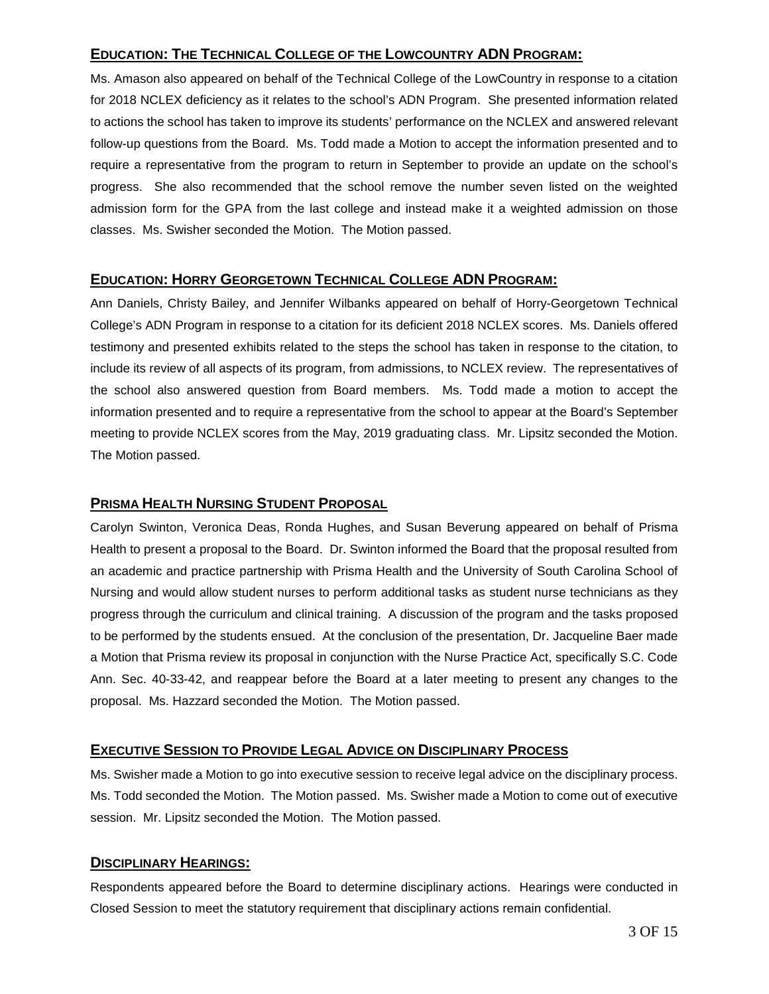# **EDUCATION: THE TECHNICAL COLLEGE OF THE LOWCOUNTRY ADN PROGRAM:**

Ms. Amason also appeared on behalf of the Technical College of the LowCountry in response to a citation for 2018 NCLEX deficiency as it relates to the school's ADN Program. She presented information related to actions the school has taken to improve its students' performance on the NCLEX and answered relevant follow-up questions from the Board. Ms. Todd made a Motion to accept the information presented and to require a representative from the program to return in September to provide an update on the school's progress. She also recommended that the school remove the number seven listed on the weighted admission form for the GPA from the last college and instead make it a weighted admission on those classes. Ms. Swisher seconded the Motion. The Motion passed.

# **EDUCATION: HORRY GEORGETOWN TECHNICAL COLLEGE ADN PROGRAM:**

Ann Daniels, Christy Bailey, and Jennifer Wilbanks appeared on behalf of Horry-Georgetown Technical College's ADN Program in response to a citation for its deficient 2018 NCLEX scores. Ms. Daniels offered testimony and presented exhibits related to the steps the school has taken in response to the citation, to include its review of all aspects of its program, from admissions, to NCLEX review. The representatives of the school also answered question from Board members. Ms. Todd made a motion to accept the information presented and to require a representative from the school to appear at the Board's September meeting to provide NCLEX scores from the May, 2019 graduating class. Mr. Lipsitz seconded the Motion. The Motion passed.

## **PRISMA HEALTH NURSING STUDENT PROPOSAL**

Carolyn Swinton, Veronica Deas, Ronda Hughes, and Susan Beverung appeared on behalf of Prisma Health to present a proposal to the Board. Dr. Swinton informed the Board that the proposal resulted from an academic and practice partnership with Prisma Health and the University of South Carolina School of Nursing and would allow student nurses to perform additional tasks as student nurse technicians as they progress through the curriculum and clinical training. A discussion of the program and the tasks proposed to be performed by the students ensued. At the conclusion of the presentation, Dr. Jacqueline Baer made a Motion that Prisma review its proposal in conjunction with the Nurse Practice Act, specifically S.C. Code Ann. Sec. 40-33-42, and reappear before the Board at a later meeting to present any changes to the proposal. Ms. Hazzard seconded the Motion. The Motion passed.

# **EXECUTIVE SESSION TO PROVIDE LEGAL ADVICE ON DISCIPLINARY PROCESS**

Ms. Swisher made a Motion to go into executive session to receive legal advice on the disciplinary process. Ms. Todd seconded the Motion. The Motion passed. Ms. Swisher made a Motion to come out of executive session. Mr. Lipsitz seconded the Motion. The Motion passed.

# **DISCIPLINARY HEARINGS:**

Respondents appeared before the Board to determine disciplinary actions. Hearings were conducted in Closed Session to meet the statutory requirement that disciplinary actions remain confidential.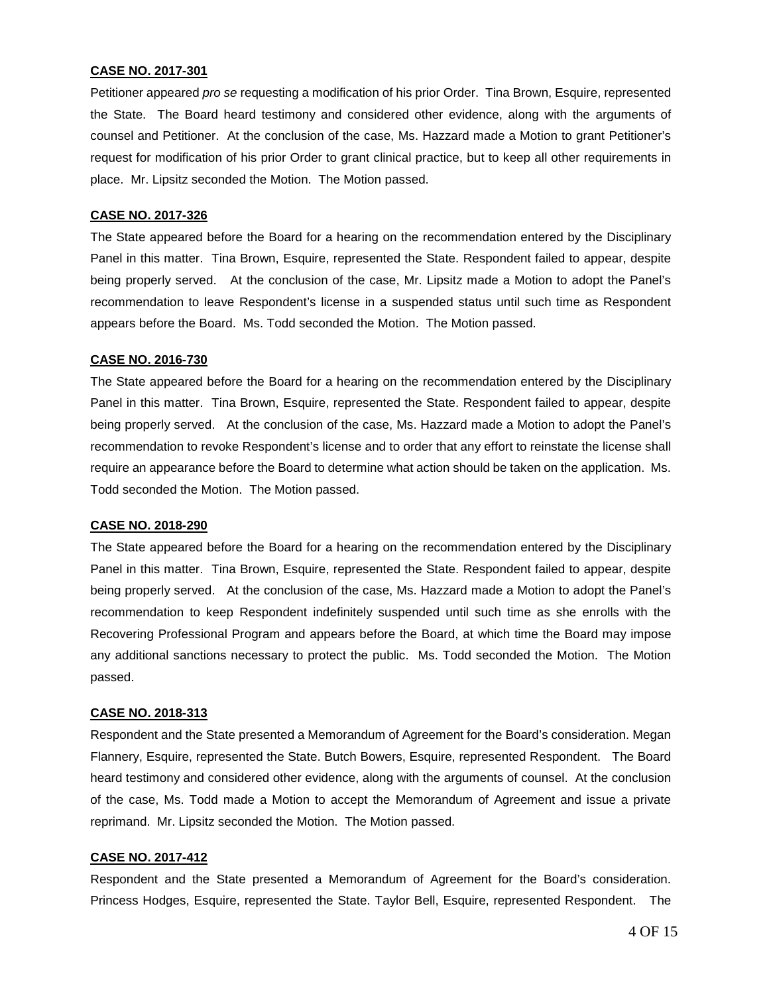#### **CASE NO. 2017-301**

Petitioner appeared *pro se* requesting a modification of his prior Order. Tina Brown, Esquire, represented the State. The Board heard testimony and considered other evidence, along with the arguments of counsel and Petitioner. At the conclusion of the case, Ms. Hazzard made a Motion to grant Petitioner's request for modification of his prior Order to grant clinical practice, but to keep all other requirements in place. Mr. Lipsitz seconded the Motion. The Motion passed.

#### **CASE NO. 2017-326**

The State appeared before the Board for a hearing on the recommendation entered by the Disciplinary Panel in this matter. Tina Brown, Esquire, represented the State. Respondent failed to appear, despite being properly served. At the conclusion of the case, Mr. Lipsitz made a Motion to adopt the Panel's recommendation to leave Respondent's license in a suspended status until such time as Respondent appears before the Board. Ms. Todd seconded the Motion. The Motion passed.

#### **CASE NO. 2016-730**

The State appeared before the Board for a hearing on the recommendation entered by the Disciplinary Panel in this matter. Tina Brown, Esquire, represented the State. Respondent failed to appear, despite being properly served. At the conclusion of the case, Ms. Hazzard made a Motion to adopt the Panel's recommendation to revoke Respondent's license and to order that any effort to reinstate the license shall require an appearance before the Board to determine what action should be taken on the application. Ms. Todd seconded the Motion. The Motion passed.

#### **CASE NO. 2018-290**

The State appeared before the Board for a hearing on the recommendation entered by the Disciplinary Panel in this matter. Tina Brown, Esquire, represented the State. Respondent failed to appear, despite being properly served. At the conclusion of the case, Ms. Hazzard made a Motion to adopt the Panel's recommendation to keep Respondent indefinitely suspended until such time as she enrolls with the Recovering Professional Program and appears before the Board, at which time the Board may impose any additional sanctions necessary to protect the public. Ms. Todd seconded the Motion. The Motion passed.

#### **CASE NO. 2018-313**

Respondent and the State presented a Memorandum of Agreement for the Board's consideration. Megan Flannery, Esquire, represented the State. Butch Bowers, Esquire, represented Respondent. The Board heard testimony and considered other evidence, along with the arguments of counsel. At the conclusion of the case, Ms. Todd made a Motion to accept the Memorandum of Agreement and issue a private reprimand. Mr. Lipsitz seconded the Motion. The Motion passed.

#### **CASE NO. 2017-412**

Respondent and the State presented a Memorandum of Agreement for the Board's consideration. Princess Hodges, Esquire, represented the State. Taylor Bell, Esquire, represented Respondent. The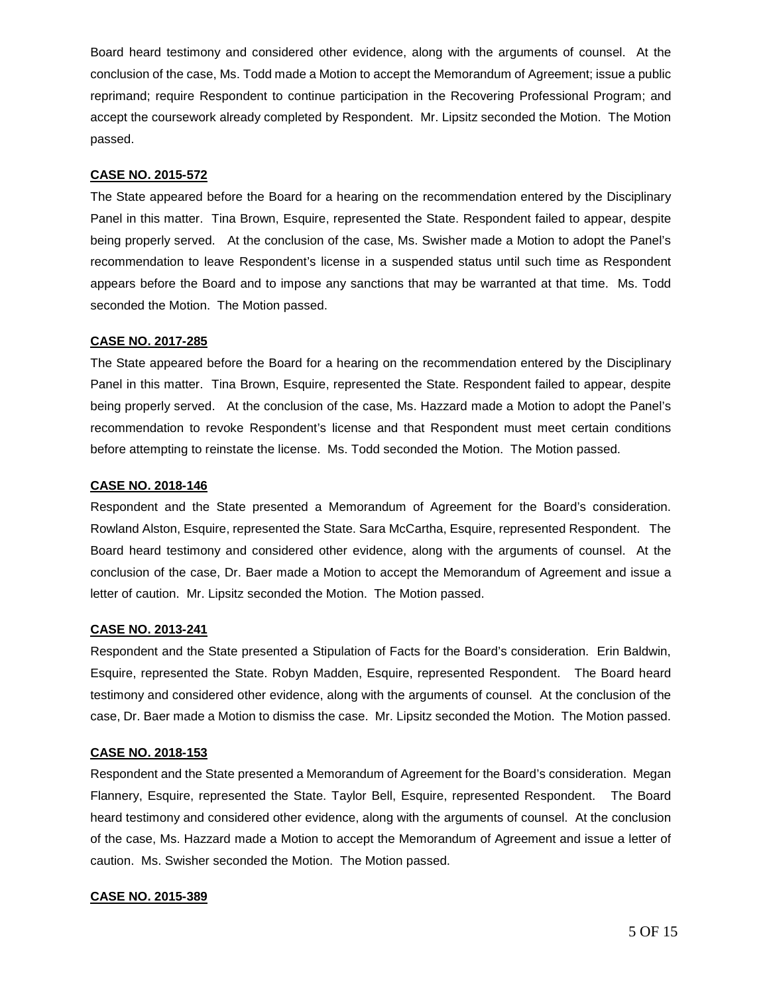Board heard testimony and considered other evidence, along with the arguments of counsel. At the conclusion of the case, Ms. Todd made a Motion to accept the Memorandum of Agreement; issue a public reprimand; require Respondent to continue participation in the Recovering Professional Program; and accept the coursework already completed by Respondent. Mr. Lipsitz seconded the Motion. The Motion passed.

#### **CASE NO. 2015-572**

The State appeared before the Board for a hearing on the recommendation entered by the Disciplinary Panel in this matter. Tina Brown, Esquire, represented the State. Respondent failed to appear, despite being properly served. At the conclusion of the case, Ms. Swisher made a Motion to adopt the Panel's recommendation to leave Respondent's license in a suspended status until such time as Respondent appears before the Board and to impose any sanctions that may be warranted at that time. Ms. Todd seconded the Motion. The Motion passed.

## **CASE NO. 2017-285**

The State appeared before the Board for a hearing on the recommendation entered by the Disciplinary Panel in this matter. Tina Brown, Esquire, represented the State. Respondent failed to appear, despite being properly served. At the conclusion of the case, Ms. Hazzard made a Motion to adopt the Panel's recommendation to revoke Respondent's license and that Respondent must meet certain conditions before attempting to reinstate the license. Ms. Todd seconded the Motion. The Motion passed.

## **CASE NO. 2018-146**

Respondent and the State presented a Memorandum of Agreement for the Board's consideration. Rowland Alston, Esquire, represented the State. Sara McCartha, Esquire, represented Respondent. The Board heard testimony and considered other evidence, along with the arguments of counsel. At the conclusion of the case, Dr. Baer made a Motion to accept the Memorandum of Agreement and issue a letter of caution. Mr. Lipsitz seconded the Motion. The Motion passed.

#### **CASE NO. 2013-241**

Respondent and the State presented a Stipulation of Facts for the Board's consideration. Erin Baldwin, Esquire, represented the State. Robyn Madden, Esquire, represented Respondent. The Board heard testimony and considered other evidence, along with the arguments of counsel. At the conclusion of the case, Dr. Baer made a Motion to dismiss the case. Mr. Lipsitz seconded the Motion. The Motion passed.

#### **CASE NO. 2018-153**

Respondent and the State presented a Memorandum of Agreement for the Board's consideration. Megan Flannery, Esquire, represented the State. Taylor Bell, Esquire, represented Respondent. The Board heard testimony and considered other evidence, along with the arguments of counsel. At the conclusion of the case, Ms. Hazzard made a Motion to accept the Memorandum of Agreement and issue a letter of caution. Ms. Swisher seconded the Motion. The Motion passed.

## **CASE NO. 2015-389**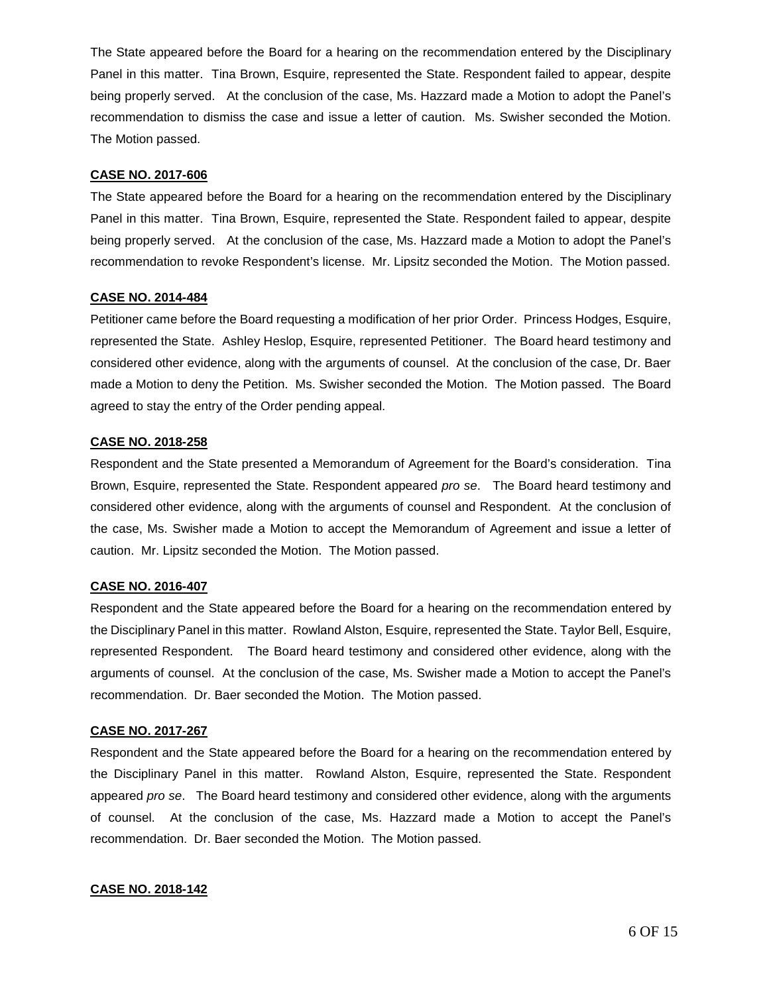The State appeared before the Board for a hearing on the recommendation entered by the Disciplinary Panel in this matter. Tina Brown, Esquire, represented the State. Respondent failed to appear, despite being properly served. At the conclusion of the case, Ms. Hazzard made a Motion to adopt the Panel's recommendation to dismiss the case and issue a letter of caution. Ms. Swisher seconded the Motion. The Motion passed.

#### **CASE NO. 2017-606**

The State appeared before the Board for a hearing on the recommendation entered by the Disciplinary Panel in this matter. Tina Brown, Esquire, represented the State. Respondent failed to appear, despite being properly served. At the conclusion of the case, Ms. Hazzard made a Motion to adopt the Panel's recommendation to revoke Respondent's license. Mr. Lipsitz seconded the Motion. The Motion passed.

#### **CASE NO. 2014-484**

Petitioner came before the Board requesting a modification of her prior Order. Princess Hodges, Esquire, represented the State. Ashley Heslop, Esquire, represented Petitioner. The Board heard testimony and considered other evidence, along with the arguments of counsel. At the conclusion of the case, Dr. Baer made a Motion to deny the Petition. Ms. Swisher seconded the Motion. The Motion passed. The Board agreed to stay the entry of the Order pending appeal.

## **CASE NO. 2018-258**

Respondent and the State presented a Memorandum of Agreement for the Board's consideration. Tina Brown, Esquire, represented the State. Respondent appeared *pro se*. The Board heard testimony and considered other evidence, along with the arguments of counsel and Respondent. At the conclusion of the case, Ms. Swisher made a Motion to accept the Memorandum of Agreement and issue a letter of caution. Mr. Lipsitz seconded the Motion. The Motion passed.

#### **CASE NO. 2016-407**

Respondent and the State appeared before the Board for a hearing on the recommendation entered by the Disciplinary Panel in this matter. Rowland Alston, Esquire, represented the State. Taylor Bell, Esquire, represented Respondent. The Board heard testimony and considered other evidence, along with the arguments of counsel. At the conclusion of the case, Ms. Swisher made a Motion to accept the Panel's recommendation. Dr. Baer seconded the Motion. The Motion passed.

#### **CASE NO. 2017-267**

Respondent and the State appeared before the Board for a hearing on the recommendation entered by the Disciplinary Panel in this matter. Rowland Alston, Esquire, represented the State. Respondent appeared *pro se*. The Board heard testimony and considered other evidence, along with the arguments of counsel. At the conclusion of the case, Ms. Hazzard made a Motion to accept the Panel's recommendation. Dr. Baer seconded the Motion. The Motion passed.

## **CASE NO. 2018-142**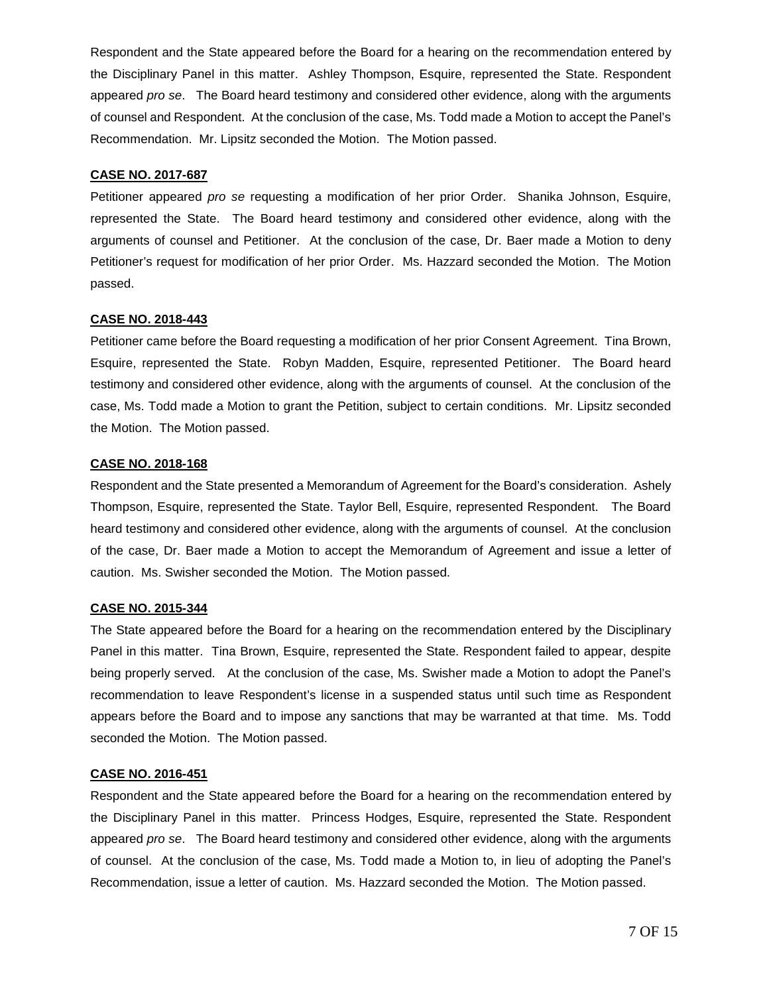Respondent and the State appeared before the Board for a hearing on the recommendation entered by the Disciplinary Panel in this matter. Ashley Thompson, Esquire, represented the State. Respondent appeared *pro se*. The Board heard testimony and considered other evidence, along with the arguments of counsel and Respondent. At the conclusion of the case, Ms. Todd made a Motion to accept the Panel's Recommendation. Mr. Lipsitz seconded the Motion. The Motion passed.

#### **CASE NO. 2017-687**

Petitioner appeared *pro se* requesting a modification of her prior Order. Shanika Johnson, Esquire, represented the State. The Board heard testimony and considered other evidence, along with the arguments of counsel and Petitioner. At the conclusion of the case, Dr. Baer made a Motion to deny Petitioner's request for modification of her prior Order. Ms. Hazzard seconded the Motion. The Motion passed.

#### **CASE NO. 2018-443**

Petitioner came before the Board requesting a modification of her prior Consent Agreement. Tina Brown, Esquire, represented the State. Robyn Madden, Esquire, represented Petitioner. The Board heard testimony and considered other evidence, along with the arguments of counsel. At the conclusion of the case, Ms. Todd made a Motion to grant the Petition, subject to certain conditions. Mr. Lipsitz seconded the Motion. The Motion passed.

#### **CASE NO. 2018-168**

Respondent and the State presented a Memorandum of Agreement for the Board's consideration. Ashely Thompson, Esquire, represented the State. Taylor Bell, Esquire, represented Respondent. The Board heard testimony and considered other evidence, along with the arguments of counsel. At the conclusion of the case, Dr. Baer made a Motion to accept the Memorandum of Agreement and issue a letter of caution. Ms. Swisher seconded the Motion. The Motion passed.

#### **CASE NO. 2015-344**

The State appeared before the Board for a hearing on the recommendation entered by the Disciplinary Panel in this matter. Tina Brown, Esquire, represented the State. Respondent failed to appear, despite being properly served. At the conclusion of the case, Ms. Swisher made a Motion to adopt the Panel's recommendation to leave Respondent's license in a suspended status until such time as Respondent appears before the Board and to impose any sanctions that may be warranted at that time. Ms. Todd seconded the Motion. The Motion passed.

#### **CASE NO. 2016-451**

Respondent and the State appeared before the Board for a hearing on the recommendation entered by the Disciplinary Panel in this matter. Princess Hodges, Esquire, represented the State. Respondent appeared *pro se*. The Board heard testimony and considered other evidence, along with the arguments of counsel. At the conclusion of the case, Ms. Todd made a Motion to, in lieu of adopting the Panel's Recommendation, issue a letter of caution. Ms. Hazzard seconded the Motion. The Motion passed.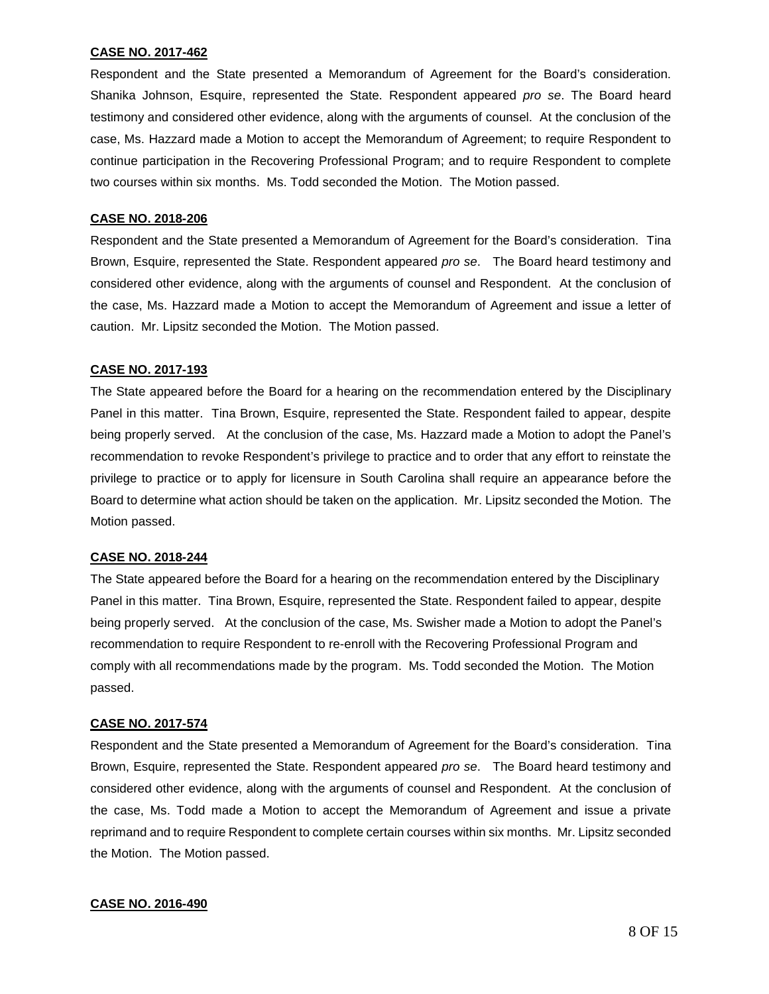#### **CASE NO. 2017-462**

Respondent and the State presented a Memorandum of Agreement for the Board's consideration. Shanika Johnson, Esquire, represented the State. Respondent appeared *pro se*. The Board heard testimony and considered other evidence, along with the arguments of counsel. At the conclusion of the case, Ms. Hazzard made a Motion to accept the Memorandum of Agreement; to require Respondent to continue participation in the Recovering Professional Program; and to require Respondent to complete two courses within six months. Ms. Todd seconded the Motion. The Motion passed.

#### **CASE NO. 2018-206**

Respondent and the State presented a Memorandum of Agreement for the Board's consideration. Tina Brown, Esquire, represented the State. Respondent appeared *pro se*. The Board heard testimony and considered other evidence, along with the arguments of counsel and Respondent. At the conclusion of the case, Ms. Hazzard made a Motion to accept the Memorandum of Agreement and issue a letter of caution. Mr. Lipsitz seconded the Motion. The Motion passed.

#### **CASE NO. 2017-193**

The State appeared before the Board for a hearing on the recommendation entered by the Disciplinary Panel in this matter. Tina Brown, Esquire, represented the State. Respondent failed to appear, despite being properly served. At the conclusion of the case, Ms. Hazzard made a Motion to adopt the Panel's recommendation to revoke Respondent's privilege to practice and to order that any effort to reinstate the privilege to practice or to apply for licensure in South Carolina shall require an appearance before the Board to determine what action should be taken on the application. Mr. Lipsitz seconded the Motion. The Motion passed.

#### **CASE NO. 2018-244**

The State appeared before the Board for a hearing on the recommendation entered by the Disciplinary Panel in this matter. Tina Brown, Esquire, represented the State. Respondent failed to appear, despite being properly served. At the conclusion of the case, Ms. Swisher made a Motion to adopt the Panel's recommendation to require Respondent to re-enroll with the Recovering Professional Program and comply with all recommendations made by the program. Ms. Todd seconded the Motion. The Motion passed.

#### **CASE NO. 2017-574**

Respondent and the State presented a Memorandum of Agreement for the Board's consideration. Tina Brown, Esquire, represented the State. Respondent appeared *pro se*. The Board heard testimony and considered other evidence, along with the arguments of counsel and Respondent. At the conclusion of the case, Ms. Todd made a Motion to accept the Memorandum of Agreement and issue a private reprimand and to require Respondent to complete certain courses within six months. Mr. Lipsitz seconded the Motion. The Motion passed.

#### **CASE NO. 2016-490**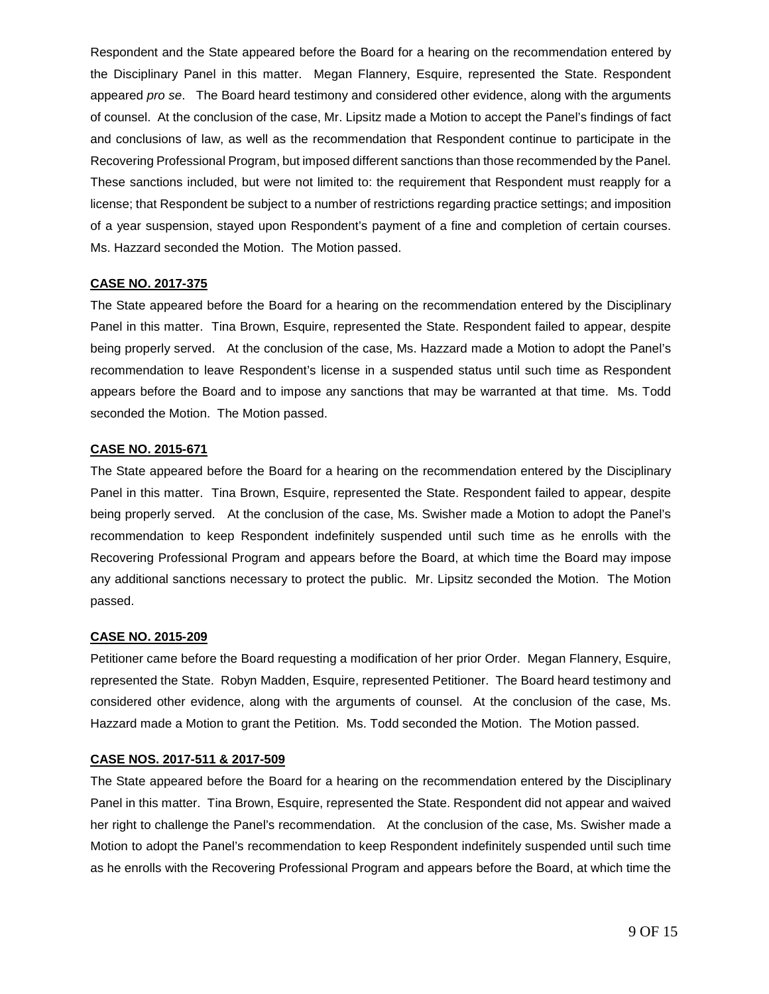Respondent and the State appeared before the Board for a hearing on the recommendation entered by the Disciplinary Panel in this matter. Megan Flannery, Esquire, represented the State. Respondent appeared *pro se*. The Board heard testimony and considered other evidence, along with the arguments of counsel. At the conclusion of the case, Mr. Lipsitz made a Motion to accept the Panel's findings of fact and conclusions of law, as well as the recommendation that Respondent continue to participate in the Recovering Professional Program, but imposed different sanctions than those recommended by the Panel. These sanctions included, but were not limited to: the requirement that Respondent must reapply for a license; that Respondent be subject to a number of restrictions regarding practice settings; and imposition of a year suspension, stayed upon Respondent's payment of a fine and completion of certain courses. Ms. Hazzard seconded the Motion. The Motion passed.

#### **CASE NO. 2017-375**

The State appeared before the Board for a hearing on the recommendation entered by the Disciplinary Panel in this matter. Tina Brown, Esquire, represented the State. Respondent failed to appear, despite being properly served. At the conclusion of the case, Ms. Hazzard made a Motion to adopt the Panel's recommendation to leave Respondent's license in a suspended status until such time as Respondent appears before the Board and to impose any sanctions that may be warranted at that time. Ms. Todd seconded the Motion. The Motion passed.

#### **CASE NO. 2015-671**

The State appeared before the Board for a hearing on the recommendation entered by the Disciplinary Panel in this matter. Tina Brown, Esquire, represented the State. Respondent failed to appear, despite being properly served. At the conclusion of the case, Ms. Swisher made a Motion to adopt the Panel's recommendation to keep Respondent indefinitely suspended until such time as he enrolls with the Recovering Professional Program and appears before the Board, at which time the Board may impose any additional sanctions necessary to protect the public. Mr. Lipsitz seconded the Motion. The Motion passed.

#### **CASE NO. 2015-209**

Petitioner came before the Board requesting a modification of her prior Order. Megan Flannery, Esquire, represented the State. Robyn Madden, Esquire, represented Petitioner. The Board heard testimony and considered other evidence, along with the arguments of counsel. At the conclusion of the case, Ms. Hazzard made a Motion to grant the Petition. Ms. Todd seconded the Motion. The Motion passed.

#### **CASE NOS. 2017-511 & 2017-509**

The State appeared before the Board for a hearing on the recommendation entered by the Disciplinary Panel in this matter. Tina Brown, Esquire, represented the State. Respondent did not appear and waived her right to challenge the Panel's recommendation. At the conclusion of the case, Ms. Swisher made a Motion to adopt the Panel's recommendation to keep Respondent indefinitely suspended until such time as he enrolls with the Recovering Professional Program and appears before the Board, at which time the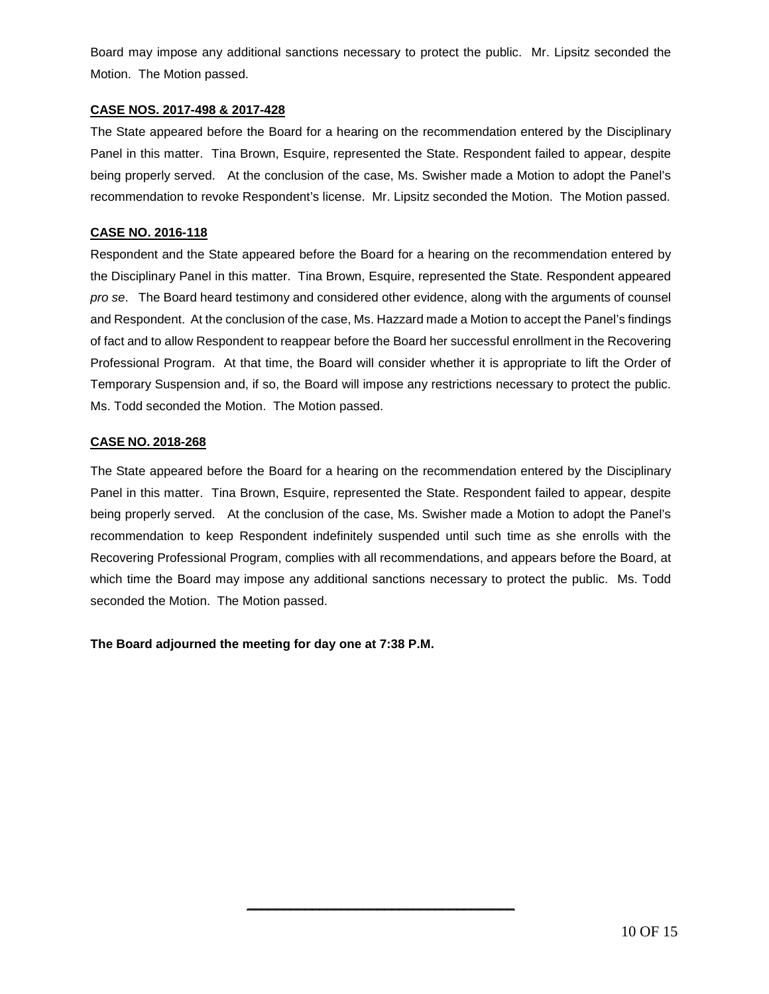Board may impose any additional sanctions necessary to protect the public. Mr. Lipsitz seconded the Motion. The Motion passed.

## **CASE NOS. 2017-498 & 2017-428**

The State appeared before the Board for a hearing on the recommendation entered by the Disciplinary Panel in this matter. Tina Brown, Esquire, represented the State. Respondent failed to appear, despite being properly served. At the conclusion of the case, Ms. Swisher made a Motion to adopt the Panel's recommendation to revoke Respondent's license. Mr. Lipsitz seconded the Motion. The Motion passed.

## **CASE NO. 2016-118**

Respondent and the State appeared before the Board for a hearing on the recommendation entered by the Disciplinary Panel in this matter. Tina Brown, Esquire, represented the State. Respondent appeared *pro se*. The Board heard testimony and considered other evidence, along with the arguments of counsel and Respondent. At the conclusion of the case, Ms. Hazzard made a Motion to accept the Panel's findings of fact and to allow Respondent to reappear before the Board her successful enrollment in the Recovering Professional Program. At that time, the Board will consider whether it is appropriate to lift the Order of Temporary Suspension and, if so, the Board will impose any restrictions necessary to protect the public. Ms. Todd seconded the Motion. The Motion passed.

## **CASE NO. 2018-268**

The State appeared before the Board for a hearing on the recommendation entered by the Disciplinary Panel in this matter. Tina Brown, Esquire, represented the State. Respondent failed to appear, despite being properly served. At the conclusion of the case, Ms. Swisher made a Motion to adopt the Panel's recommendation to keep Respondent indefinitely suspended until such time as she enrolls with the Recovering Professional Program, complies with all recommendations, and appears before the Board, at which time the Board may impose any additional sanctions necessary to protect the public. Ms. Todd seconded the Motion. The Motion passed.

\_\_\_\_\_\_\_\_\_\_\_\_\_\_\_\_\_\_\_\_\_\_\_\_\_\_\_\_\_\_\_\_\_\_\_\_\_

**The Board adjourned the meeting for day one at 7:38 P.M.**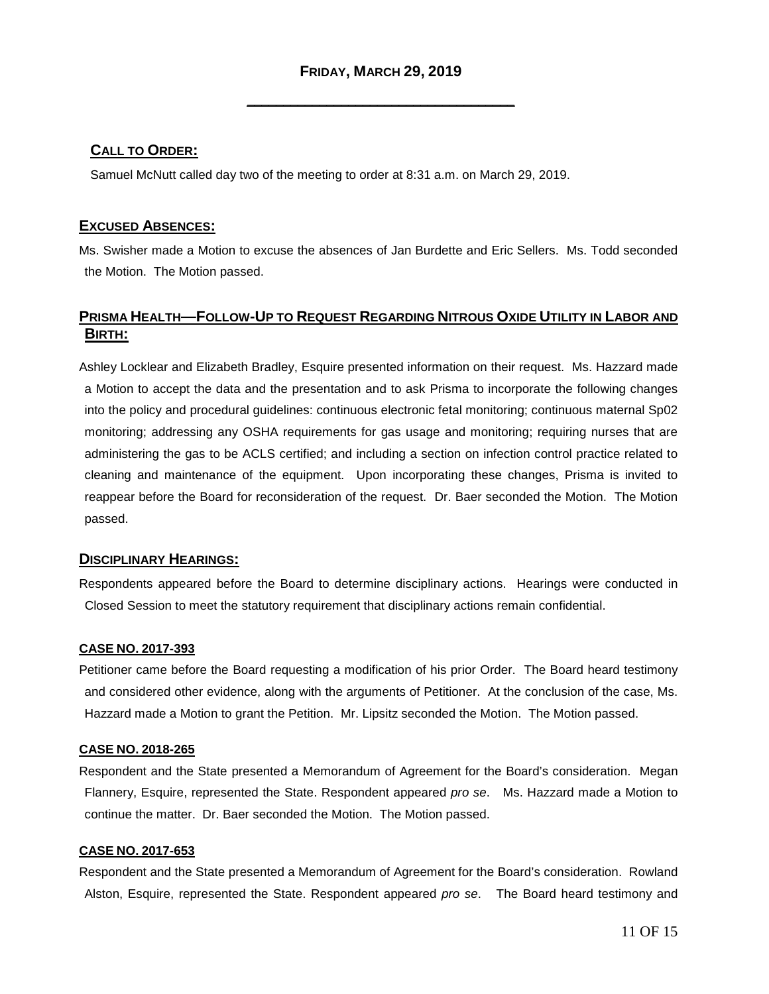\_\_\_\_\_\_\_\_\_\_\_\_\_\_\_\_\_\_\_\_\_\_\_\_\_\_\_\_\_\_\_\_\_\_\_\_\_

# **CALL TO ORDER:**

Samuel McNutt called day two of the meeting to order at 8:31 a.m. on March 29, 2019.

## **EXCUSED ABSENCES:**

Ms. Swisher made a Motion to excuse the absences of Jan Burdette and Eric Sellers. Ms. Todd seconded the Motion. The Motion passed.

# **PRISMA HEALTH—FOLLOW-UP TO REQUEST REGARDING NITROUS OXIDE UTILITY IN LABOR AND BIRTH:**

Ashley Locklear and Elizabeth Bradley, Esquire presented information on their request. Ms. Hazzard made a Motion to accept the data and the presentation and to ask Prisma to incorporate the following changes into the policy and procedural guidelines: continuous electronic fetal monitoring; continuous maternal Sp02 monitoring; addressing any OSHA requirements for gas usage and monitoring; requiring nurses that are administering the gas to be ACLS certified; and including a section on infection control practice related to cleaning and maintenance of the equipment. Upon incorporating these changes, Prisma is invited to reappear before the Board for reconsideration of the request. Dr. Baer seconded the Motion. The Motion passed.

## **DISCIPLINARY HEARINGS:**

Respondents appeared before the Board to determine disciplinary actions. Hearings were conducted in Closed Session to meet the statutory requirement that disciplinary actions remain confidential.

#### **CASE NO. 2017-393**

Petitioner came before the Board requesting a modification of his prior Order. The Board heard testimony and considered other evidence, along with the arguments of Petitioner. At the conclusion of the case, Ms. Hazzard made a Motion to grant the Petition. Mr. Lipsitz seconded the Motion. The Motion passed.

#### **CASE NO. 2018-265**

Respondent and the State presented a Memorandum of Agreement for the Board's consideration. Megan Flannery, Esquire, represented the State. Respondent appeared *pro se*. Ms. Hazzard made a Motion to continue the matter. Dr. Baer seconded the Motion. The Motion passed.

#### **CASE NO. 2017-653**

Respondent and the State presented a Memorandum of Agreement for the Board's consideration. Rowland Alston, Esquire, represented the State. Respondent appeared *pro se*. The Board heard testimony and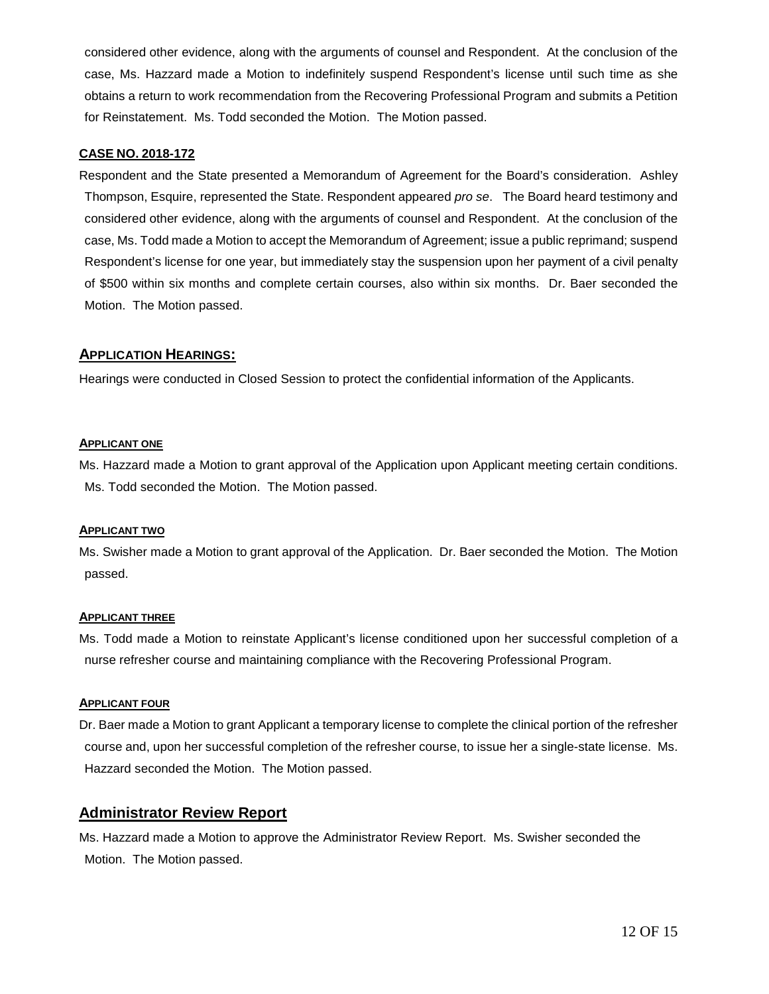considered other evidence, along with the arguments of counsel and Respondent. At the conclusion of the case, Ms. Hazzard made a Motion to indefinitely suspend Respondent's license until such time as she obtains a return to work recommendation from the Recovering Professional Program and submits a Petition for Reinstatement. Ms. Todd seconded the Motion. The Motion passed.

## **CASE NO. 2018-172**

Respondent and the State presented a Memorandum of Agreement for the Board's consideration. Ashley Thompson, Esquire, represented the State. Respondent appeared *pro se*. The Board heard testimony and considered other evidence, along with the arguments of counsel and Respondent. At the conclusion of the case, Ms. Todd made a Motion to accept the Memorandum of Agreement; issue a public reprimand; suspend Respondent's license for one year, but immediately stay the suspension upon her payment of a civil penalty of \$500 within six months and complete certain courses, also within six months. Dr. Baer seconded the Motion. The Motion passed.

## **APPLICATION HEARINGS:**

Hearings were conducted in Closed Session to protect the confidential information of the Applicants.

#### **APPLICANT ONE**

Ms. Hazzard made a Motion to grant approval of the Application upon Applicant meeting certain conditions. Ms. Todd seconded the Motion. The Motion passed.

#### **APPLICANT TWO**

Ms. Swisher made a Motion to grant approval of the Application. Dr. Baer seconded the Motion. The Motion passed.

#### **APPLICANT THREE**

Ms. Todd made a Motion to reinstate Applicant's license conditioned upon her successful completion of a nurse refresher course and maintaining compliance with the Recovering Professional Program.

## **APPLICANT FOUR**

Dr. Baer made a Motion to grant Applicant a temporary license to complete the clinical portion of the refresher course and, upon her successful completion of the refresher course, to issue her a single-state license. Ms. Hazzard seconded the Motion. The Motion passed.

## **Administrator Review Report**

Ms. Hazzard made a Motion to approve the Administrator Review Report. Ms. Swisher seconded the Motion. The Motion passed.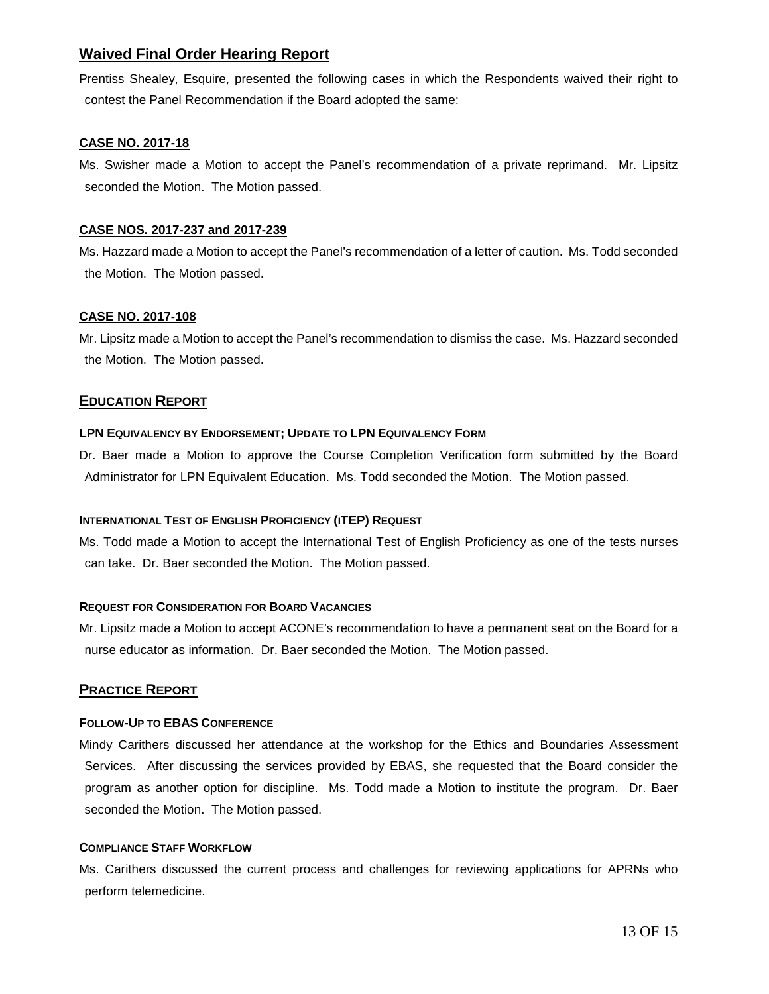# **Waived Final Order Hearing Report**

Prentiss Shealey, Esquire, presented the following cases in which the Respondents waived their right to contest the Panel Recommendation if the Board adopted the same:

## **CASE NO. 2017-18**

Ms. Swisher made a Motion to accept the Panel's recommendation of a private reprimand. Mr. Lipsitz seconded the Motion. The Motion passed.

## **CASE NOS. 2017-237 and 2017-239**

Ms. Hazzard made a Motion to accept the Panel's recommendation of a letter of caution. Ms. Todd seconded the Motion. The Motion passed.

## **CASE NO. 2017-108**

Mr. Lipsitz made a Motion to accept the Panel's recommendation to dismiss the case. Ms. Hazzard seconded the Motion. The Motion passed.

## **EDUCATION REPORT**

## **LPN EQUIVALENCY BY ENDORSEMENT; UPDATE TO LPN EQUIVALENCY FORM**

Dr. Baer made a Motion to approve the Course Completion Verification form submitted by the Board Administrator for LPN Equivalent Education. Ms. Todd seconded the Motion. The Motion passed.

#### **INTERNATIONAL TEST OF ENGLISH PROFICIENCY (ITEP) REQUEST**

Ms. Todd made a Motion to accept the International Test of English Proficiency as one of the tests nurses can take. Dr. Baer seconded the Motion. The Motion passed.

#### **REQUEST FOR CONSIDERATION FOR BOARD VACANCIES**

Mr. Lipsitz made a Motion to accept ACONE's recommendation to have a permanent seat on the Board for a nurse educator as information. Dr. Baer seconded the Motion. The Motion passed.

## **PRACTICE REPORT**

#### **FOLLOW-UP TO EBAS CONFERENCE**

Mindy Carithers discussed her attendance at the workshop for the Ethics and Boundaries Assessment Services. After discussing the services provided by EBAS, she requested that the Board consider the program as another option for discipline. Ms. Todd made a Motion to institute the program. Dr. Baer seconded the Motion. The Motion passed.

#### **COMPLIANCE STAFF WORKFLOW**

Ms. Carithers discussed the current process and challenges for reviewing applications for APRNs who perform telemedicine.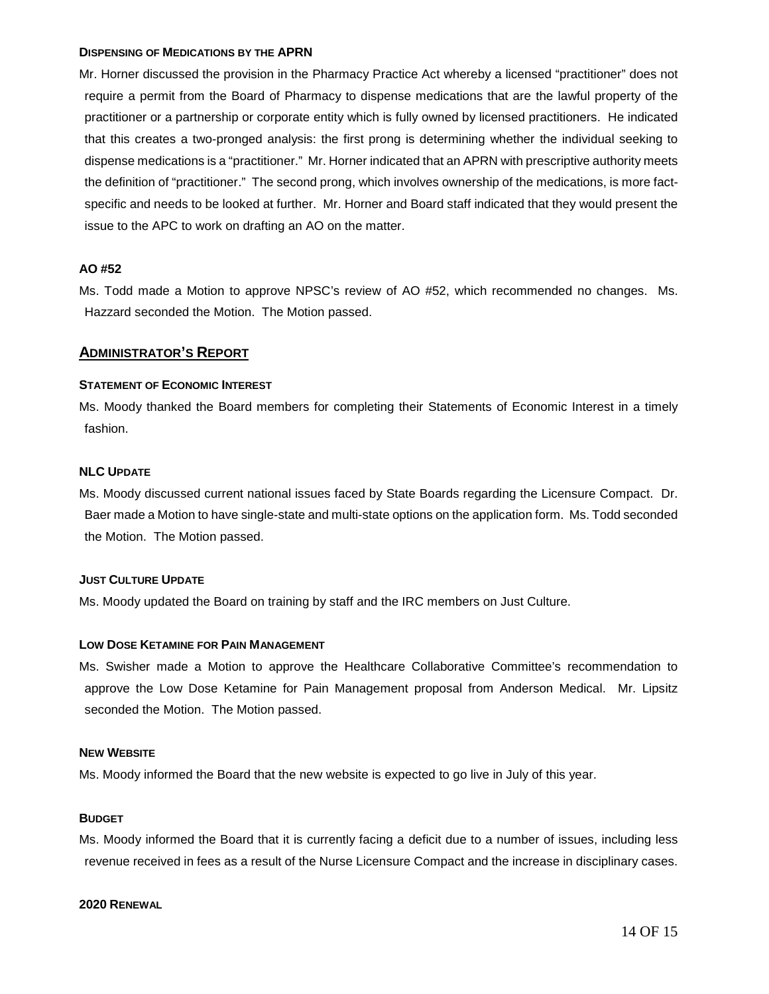#### **DISPENSING OF MEDICATIONS BY THE APRN**

Mr. Horner discussed the provision in the Pharmacy Practice Act whereby a licensed "practitioner" does not require a permit from the Board of Pharmacy to dispense medications that are the lawful property of the practitioner or a partnership or corporate entity which is fully owned by licensed practitioners. He indicated that this creates a two-pronged analysis: the first prong is determining whether the individual seeking to dispense medications is a "practitioner." Mr. Horner indicated that an APRN with prescriptive authority meets the definition of "practitioner." The second prong, which involves ownership of the medications, is more factspecific and needs to be looked at further. Mr. Horner and Board staff indicated that they would present the issue to the APC to work on drafting an AO on the matter.

#### **AO #52**

Ms. Todd made a Motion to approve NPSC's review of AO #52, which recommended no changes. Ms. Hazzard seconded the Motion. The Motion passed.

## **ADMINISTRATOR'S REPORT**

#### **STATEMENT OF ECONOMIC INTEREST**

Ms. Moody thanked the Board members for completing their Statements of Economic Interest in a timely fashion.

#### **NLC UPDATE**

Ms. Moody discussed current national issues faced by State Boards regarding the Licensure Compact. Dr. Baer made a Motion to have single-state and multi-state options on the application form. Ms. Todd seconded the Motion. The Motion passed.

#### **JUST CULTURE UPDATE**

Ms. Moody updated the Board on training by staff and the IRC members on Just Culture.

#### **LOW DOSE KETAMINE FOR PAIN MANAGEMENT**

Ms. Swisher made a Motion to approve the Healthcare Collaborative Committee's recommendation to approve the Low Dose Ketamine for Pain Management proposal from Anderson Medical. Mr. Lipsitz seconded the Motion. The Motion passed.

## **NEW WEBSITE**

Ms. Moody informed the Board that the new website is expected to go live in July of this year.

#### **BUDGET**

Ms. Moody informed the Board that it is currently facing a deficit due to a number of issues, including less revenue received in fees as a result of the Nurse Licensure Compact and the increase in disciplinary cases.

#### **2020 RENEWAL**